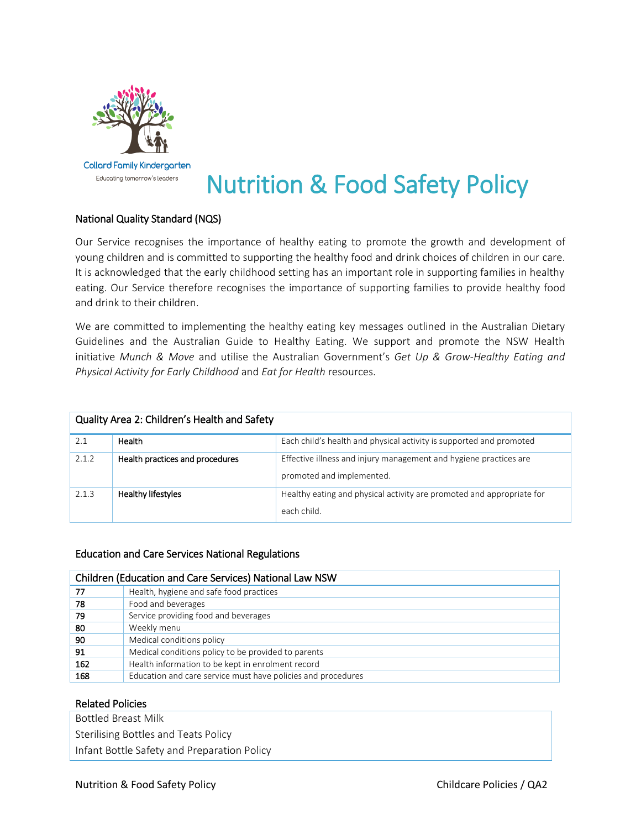

# Nutrition & Food Safety Policy

# National Quality Standard (NQS)

Our Service recognises the importance of healthy eating to promote the growth and development of young children and is committed to supporting the healthy food and drink choices of children in our care. It is acknowledged that the early childhood setting has an important role in supporting families in healthy eating. Our Service therefore recognises the importance of supporting families to provide healthy food and drink to their children.

We are committed to implementing the healthy eating key messages outlined in the Australian Dietary Guidelines and the Australian Guide to Healthy Eating. We support and promote the NSW Health initiative *Munch & Move* and utilise the Australian Government's *Get Up & Grow-Healthy Eating and Physical Activity for Early Childhood* and *Eat for Health* resources.

| Quality Area 2: Children's Health and Safety |                                 |                                                                                                |  |  |
|----------------------------------------------|---------------------------------|------------------------------------------------------------------------------------------------|--|--|
| 2.1                                          | Health                          | Each child's health and physical activity is supported and promoted                            |  |  |
| 2.1.2                                        | Health practices and procedures | Effective illness and injury management and hygiene practices are<br>promoted and implemented. |  |  |
| 2.1.3                                        | Healthy lifestyles              | Healthy eating and physical activity are promoted and appropriate for<br>each child.           |  |  |

#### Education and Care Services National Regulations

| <b>Children (Education and Care Services) National Law NSW</b> |                                                              |  |  |
|----------------------------------------------------------------|--------------------------------------------------------------|--|--|
| 77                                                             | Health, hygiene and safe food practices                      |  |  |
| 78                                                             | Food and beverages                                           |  |  |
| 79                                                             | Service providing food and beverages                         |  |  |
| 80                                                             | Weekly menu                                                  |  |  |
| 90                                                             | Medical conditions policy                                    |  |  |
| 91                                                             | Medical conditions policy to be provided to parents          |  |  |
| 162                                                            | Health information to be kept in enrolment record            |  |  |
| 168                                                            | Education and care service must have policies and procedures |  |  |

#### Related Policies

Bottled Breast Milk

Sterilising Bottles and Teats Policy

Infant Bottle Safety and Preparation Policy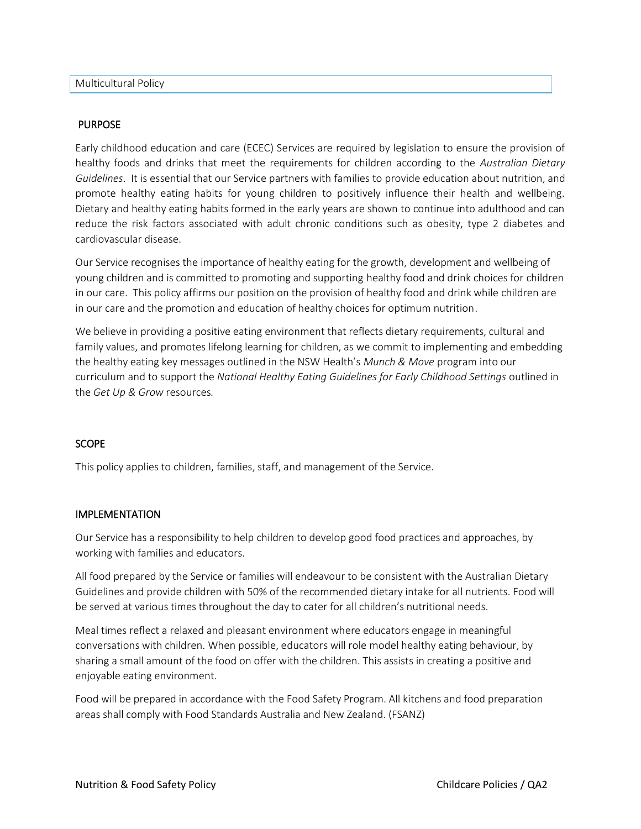#### PURPOSE

Early childhood education and care (ECEC) Services are required by legislation to ensure the provision of healthy foods and drinks that meet the requirements for children according to the *Australian Dietary Guidelines*. It is essential that our Service partners with families to provide education about nutrition, and promote healthy eating habits for young children to positively influence their health and wellbeing. Dietary and healthy eating habits formed in the early years are shown to continue into adulthood and can reduce the risk factors associated with adult chronic conditions such as obesity, type 2 diabetes and cardiovascular disease.

Our Service recognises the importance of healthy eating for the growth, development and wellbeing of young children and is committed to promoting and supporting healthy food and drink choices for children in our care. This policy affirms our position on the provision of healthy food and drink while children are in our care and the promotion and education of healthy choices for optimum nutrition.

We believe in providing a positive eating environment that reflects dietary requirements, cultural and family values, and promotes lifelong learning for children, as we commit to implementing and embedding the healthy eating key messages outlined in the NSW Health's *Munch & Move* program into our curriculum and to support the *National Healthy Eating Guidelines for Early Childhood Settings* outlined in the *Get Up & Grow* resources*.*

#### **SCOPE**

This policy applies to children, families, staff, and management of the Service.

#### IMPLEMENTATION

Our Service has a responsibility to help children to develop good food practices and approaches, by working with families and educators.

All food prepared by the Service or families will endeavour to be consistent with the Australian Dietary Guidelines and provide children with 50% of the recommended dietary intake for all nutrients. Food will be served at various times throughout the day to cater for all children's nutritional needs.

Meal times reflect a relaxed and pleasant environment where educators engage in meaningful conversations with children. When possible, educators will role model healthy eating behaviour, by sharing a small amount of the food on offer with the children. This assists in creating a positive and enjoyable eating environment.

Food will be prepared in accordance with the Food Safety Program. All kitchens and food preparation areas shall comply with Food Standards Australia and New Zealand. (FSANZ)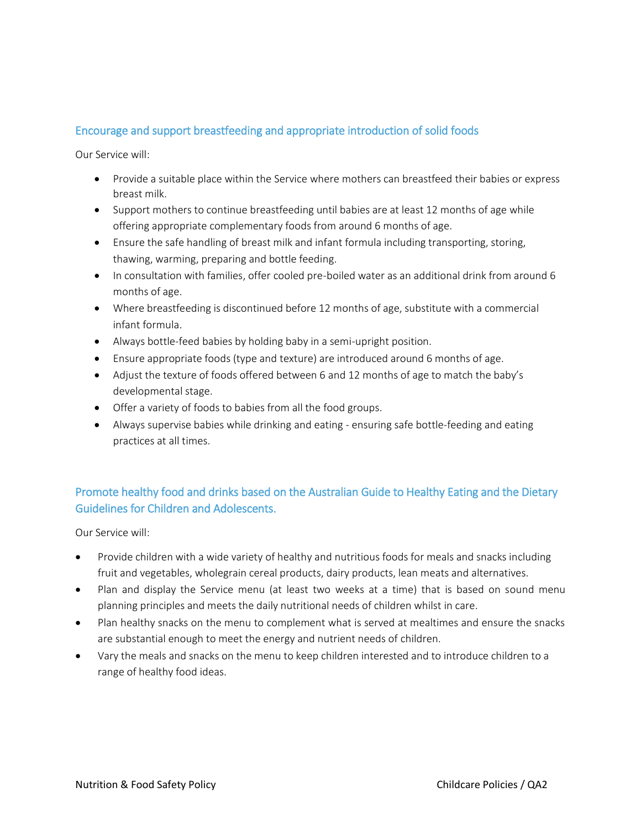# Encourage and support breastfeeding and appropriate introduction of solid foods

Our Service will:

- Provide a suitable place within the Service where mothers can breastfeed their babies or express breast milk.
- Support mothers to continue breastfeeding until babies are at least 12 months of age while offering appropriate complementary foods from around 6 months of age.
- Ensure the safe handling of breast milk and infant formula including transporting, storing, thawing, warming, preparing and bottle feeding.
- In consultation with families, offer cooled pre-boiled water as an additional drink from around 6 months of age.
- Where breastfeeding is discontinued before 12 months of age, substitute with a commercial infant formula.
- Always bottle-feed babies by holding baby in a semi-upright position.
- Ensure appropriate foods (type and texture) are introduced around 6 months of age.
- Adjust the texture of foods offered between 6 and 12 months of age to match the baby's developmental stage.
- Offer a variety of foods to babies from all the food groups.
- Always supervise babies while drinking and eating ensuring safe bottle-feeding and eating practices at all times.

# Promote healthy food and drinks based on the Australian Guide to Healthy Eating and the Dietary Guidelines for Children and Adolescents.

Our Service will:

- Provide children with a wide variety of healthy and nutritious foods for meals and snacks including fruit and vegetables, wholegrain cereal products, dairy products, lean meats and alternatives.
- Plan and display the Service menu (at least two weeks at a time) that is based on sound menu planning principles and meets the daily nutritional needs of children whilst in care.
- Plan healthy snacks on the menu to complement what is served at mealtimes and ensure the snacks are substantial enough to meet the energy and nutrient needs of children.
- Vary the meals and snacks on the menu to keep children interested and to introduce children to a range of healthy food ideas.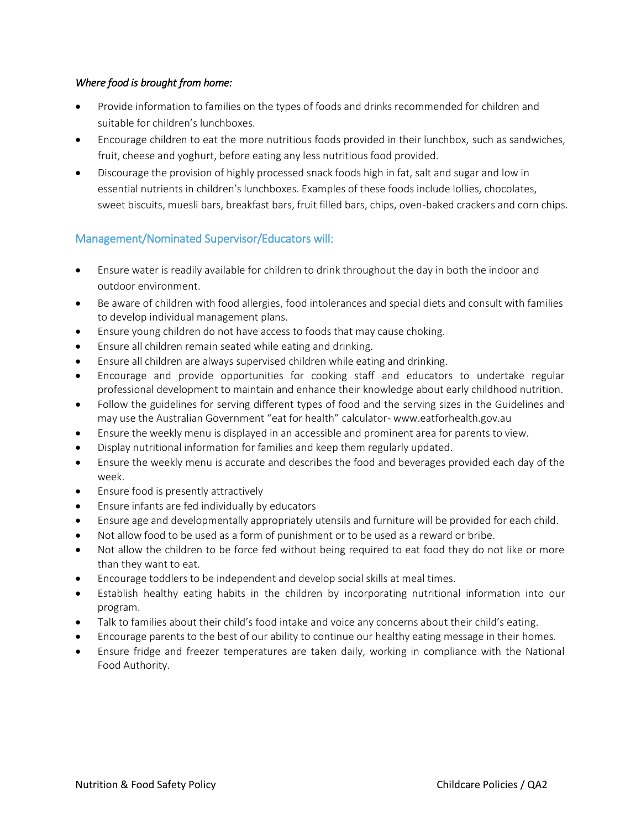### *Where food is brought from home:*

- Provide information to families on the types of foods and drinks recommended for children and suitable for children's lunchboxes.
- Encourage children to eat the more nutritious foods provided in their lunchbox, such as sandwiches, fruit, cheese and yoghurt, before eating any less nutritious food provided.
- Discourage the provision of highly processed snack foods high in fat, salt and sugar and low in essential nutrients in children's lunchboxes. Examples of these foods include lollies, chocolates, sweet biscuits, muesli bars, breakfast bars, fruit filled bars, chips, oven-baked crackers and corn chips.

# Management/Nominated Supervisor/Educators will:

- Ensure water is readily available for children to drink throughout the day in both the indoor and outdoor environment.
- Be aware of children with food allergies, food intolerances and special diets and consult with families to develop individual management plans.
- Ensure young children do not have access to foods that may cause choking.
- Ensure all children remain seated while eating and drinking.
- Ensure all children are always supervised children while eating and drinking.
- Encourage and provide opportunities for cooking staff and educators to undertake regular professional development to maintain and enhance their knowledge about early childhood nutrition.
- Follow the guidelines for serving different types of food and the serving sizes in the Guidelines and may use the Australian Government "eat for health" calculator- www.eatforhealth.gov.au
- Ensure the weekly menu is displayed in an accessible and prominent area for parents to view.
- Display nutritional information for families and keep them regularly updated.
- Ensure the weekly menu is accurate and describes the food and beverages provided each day of the week.
- Ensure food is presently attractively
- Ensure infants are fed individually by educators
- Ensure age and developmentally appropriately utensils and furniture will be provided for each child.
- Not allow food to be used as a form of punishment or to be used as a reward or bribe.
- Not allow the children to be force fed without being required to eat food they do not like or more than they want to eat.
- Encourage toddlers to be independent and develop social skills at meal times.
- Establish healthy eating habits in the children by incorporating nutritional information into our program.
- Talk to families about their child's food intake and voice any concerns about their child's eating.
- Encourage parents to the best of our ability to continue our healthy eating message in their homes.
- Ensure fridge and freezer temperatures are taken daily, working in compliance with the National Food Authority.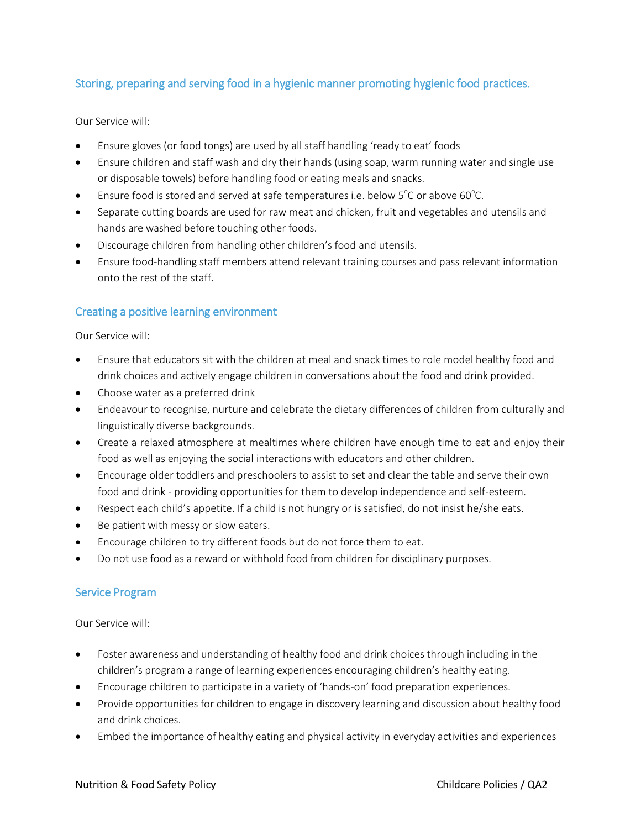# Storing, preparing and serving food in a hygienic manner promoting hygienic food practices.

Our Service will:

- Ensure gloves (or food tongs) are used by all staff handling 'ready to eat' foods
- Ensure children and staff wash and dry their hands (using soap, warm running water and single use or disposable towels) before handling food or eating meals and snacks.
- **•** Ensure food is stored and served at safe temperatures i.e. below  $5^{\circ}$ C or above 60 $^{\circ}$ C.
- Separate cutting boards are used for raw meat and chicken, fruit and vegetables and utensils and hands are washed before touching other foods.
- Discourage children from handling other children's food and utensils.
- Ensure food-handling staff members attend relevant training courses and pass relevant information onto the rest of the staff.

## Creating a positive learning environment

Our Service will:

- Ensure that educators sit with the children at meal and snack times to role model healthy food and drink choices and actively engage children in conversations about the food and drink provided.
- Choose water as a preferred drink
- Endeavour to recognise, nurture and celebrate the dietary differences of children from culturally and linguistically diverse backgrounds.
- Create a relaxed atmosphere at mealtimes where children have enough time to eat and enjoy their food as well as enjoying the social interactions with educators and other children.
- Encourage older toddlers and preschoolers to assist to set and clear the table and serve their own food and drink - providing opportunities for them to develop independence and self-esteem.
- Respect each child's appetite. If a child is not hungry or is satisfied, do not insist he/she eats.
- Be patient with messy or slow eaters.
- Encourage children to try different foods but do not force them to eat.
- Do not use food as a reward or withhold food from children for disciplinary purposes.

## Service Program

Our Service will:

- Foster awareness and understanding of healthy food and drink choices through including in the children's program a range of learning experiences encouraging children's healthy eating.
- Encourage children to participate in a variety of 'hands-on' food preparation experiences.
- Provide opportunities for children to engage in discovery learning and discussion about healthy food and drink choices.
- Embed the importance of healthy eating and physical activity in everyday activities and experiences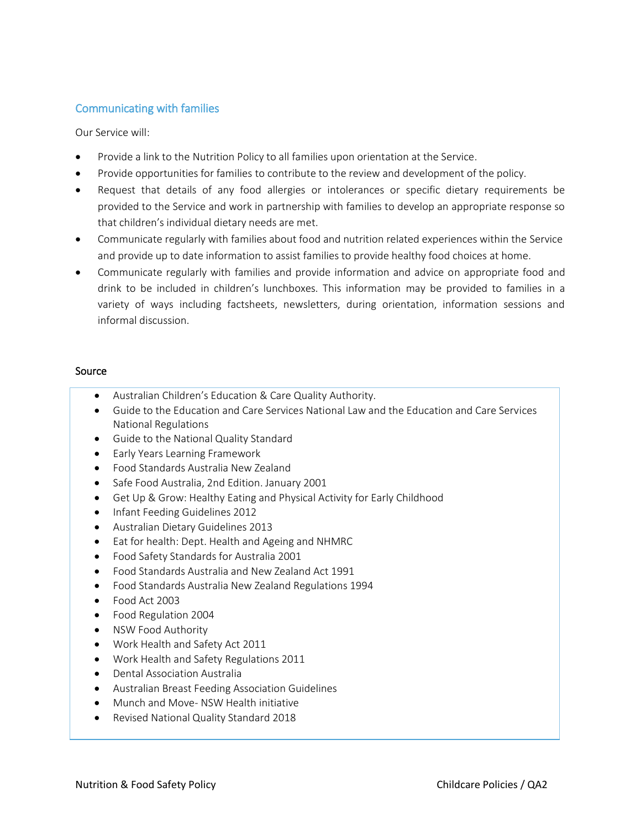## Communicating with families

Our Service will:

- Provide a link to the Nutrition Policy to all families upon orientation at the Service.
- Provide opportunities for families to contribute to the review and development of the policy.
- Request that details of any food allergies or intolerances or specific dietary requirements be provided to the Service and work in partnership with families to develop an appropriate response so that children's individual dietary needs are met.
- Communicate regularly with families about food and nutrition related experiences within the Service and provide up to date information to assist families to provide healthy food choices at home.
- Communicate regularly with families and provide information and advice on appropriate food and drink to be included in children's lunchboxes. This information may be provided to families in a variety of ways including factsheets, newsletters, during orientation, information sessions and informal discussion.

#### Source

- Australian Children's Education & Care Quality Authority.
- Guide to the Education and Care Services National Law and the Education and Care Services National Regulations
- Guide to the National Quality Standard
- **•** Early Years Learning Framework
- Food Standards Australia New Zealand
- Safe Food Australia, 2nd Edition. January 2001
- Get Up & Grow: Healthy Eating and Physical Activity for Early Childhood
- Infant Feeding Guidelines 2012
- Australian Dietary Guidelines 2013
- Eat for health: Dept. Health and Ageing and NHMRC
- Food Safety Standards for Australia 2001
- Food Standards Australia and New Zealand Act 1991
- Food Standards Australia New Zealand Regulations 1994
- Food Act 2003
- Food Regulation 2004
- NSW Food Authority
- Work Health and Safety Act 2011
- Work Health and Safety Regulations 2011
- Dental Association Australia
- Australian Breast Feeding Association Guidelines
- Munch and Move- NSW Health initiative
- Revised National Quality Standard 2018